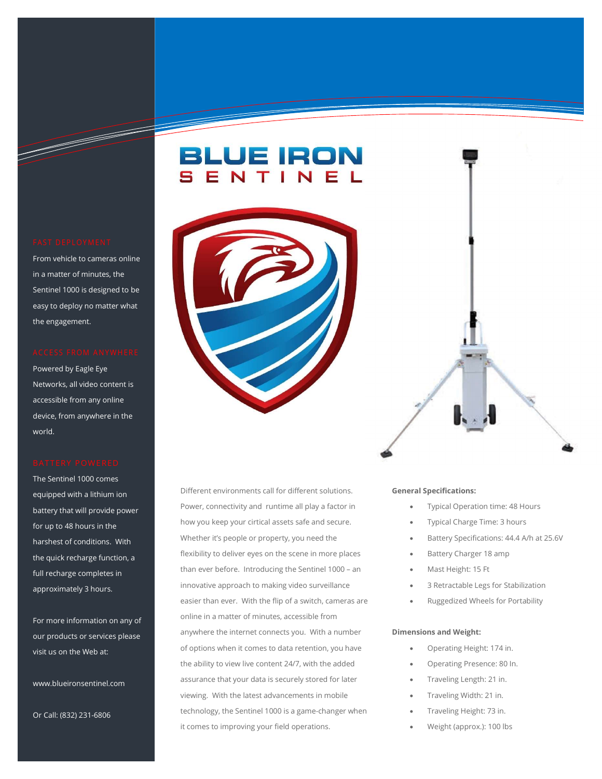Information Technology Solutions and Constitutions of the Constitution Constitutions of the Constitutions of t<br>Informations and Constitutions and Constitutions and Constitutions and Constitutions of the Constitutions of t

From vehicle to cameras online in a matter of minutes, the Sentinel 1000 is designed to be easy to deploy no matter what the engagement.

Powered by Eagle Eye Networks, all video content is accessible from any online device, from anywhere in the world.

The Sentinel 1000 comes equipped with a lithium ion battery that will provide power for up to 48 hours in the harshest of conditions. With the quick recharge function, a full recharge completes in approximately 3 hours.

For more information on any of our products or services please visit us on the Web at:

www.blueironsentinel.com

Or Call: (832) 231-6806

Different environments call for different solutions. Power, connectivity and runtime all play a factor in how you keep your cirtical assets safe and secure. Whether it's people or property, you need the flexibility to deliver eyes on the scene in more places than ever before. Introducing the Sentinel 1000 – an innovative approach to making video surveillance easier than ever. With the flip of a switch, cameras are online in a matter of minutes, accessible from anywhere the internet connects you. With a number of options when it comes to data retention, you have the ability to view live content 24/7, with the added assurance that your data is securely stored for later viewing. With the latest advancements in mobile technology, the Sentinel 1000 is a game-changer when it comes to improving your field operations.

# FAST DEPLOYMENT<br>
SENTINE L<br>FROM VERGINAL RESERVANCE CONTRACT OF CONTRACT OF CONTRACT OF CONTRACT OF CONTRACT OF CONTRACT OF CONTRACT OF CONTRACT OF CONTRACT OF CONTRACT OF CONTRACT OF CONTRACT OF CONTRACT OF CONTRACT OF CO BRUE RON<br>
SENT DEPLOYMENT<br>
SENT INEL<br>
RESERVED CONSIDERED STRUCT AND TINEL<br>
RESERVED CONSIDERED STRUCT AND TINEL<br>
RESERVED CONSIDERED TO THE CONSIDERATION CONSIDERED TO THE CONSIDERATION OF THE CONSIDERATION OF THE CONSIDE

# General Specifications:

- Typical Operation time: 48 Hours
- Typical Charge Time: 3 hours
- Battery Specifications: 44.4 A/h at 25.6V
- Battery Charger 18 amp
- Mast Height: 15 Ft
- 3 Retractable Legs for Stabilization
- Ruggedized Wheels for Portability

# Dimensions and Weight:

- Operating Height: 174 in.
- Operating Presence: 80 In.
- Traveling Length: 21 in.
- Traveling Width: 21 in.
- Traveling Height: 73 in.
- Weight (approx.): 100 lbs